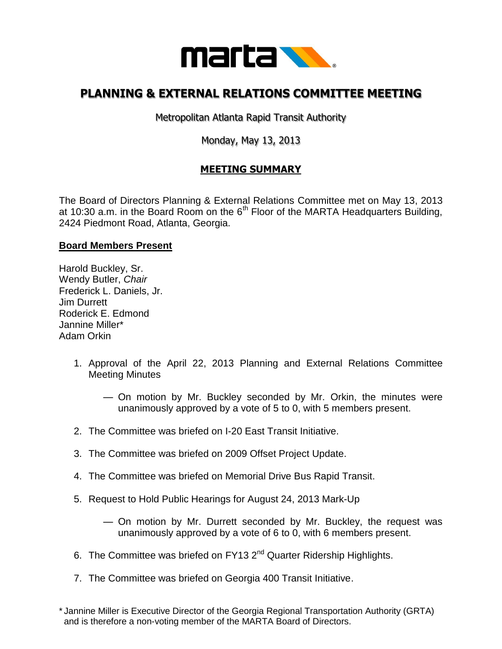

## **PLANNING & EXTERNAL RELATIONS COMMITTEE MEETING**

Metropolitan Atlanta Rapid Transit Authority

## Monday, May 13, 2013

## **MEETING SUMMARY**

The Board of Directors Planning & External Relations Committee met on May 13, 2013 at 10:30 a.m. in the Board Room on the  $6<sup>th</sup>$  Floor of the MARTA Headquarters Building, 2424 Piedmont Road, Atlanta, Georgia.

## **Board Members Present**

Harold Buckley, Sr. Wendy Butler, *Chair*  Frederick L. Daniels, Jr. Jim Durrett Roderick E. Edmond Jannine Miller\* Adam Orkin

- 1. Approval of the April 22, 2013 Planning and External Relations Committee Meeting Minutes
	- On motion by Mr. Buckley seconded by Mr. Orkin, the minutes were unanimously approved by a vote of 5 to 0, with 5 members present.
- 2. The Committee was briefed on I-20 East Transit Initiative.
- 3. The Committee was briefed on 2009 Offset Project Update.
- 4. The Committee was briefed on Memorial Drive Bus Rapid Transit.
- 5. Request to Hold Public Hearings for August 24, 2013 Mark-Up
	- On motion by Mr. Durrett seconded by Mr. Buckley, the request was unanimously approved by a vote of 6 to 0, with 6 members present.
- 6. The Committee was briefed on  $FY13 2<sup>nd</sup>$  Quarter Ridership Highlights.
- 7. The Committee was briefed on Georgia 400 Transit Initiative.

<sup>\*</sup> Jannine Miller is Executive Director of the Georgia Regional Transportation Authority (GRTA) and is therefore a non-voting member of the MARTA Board of Directors.